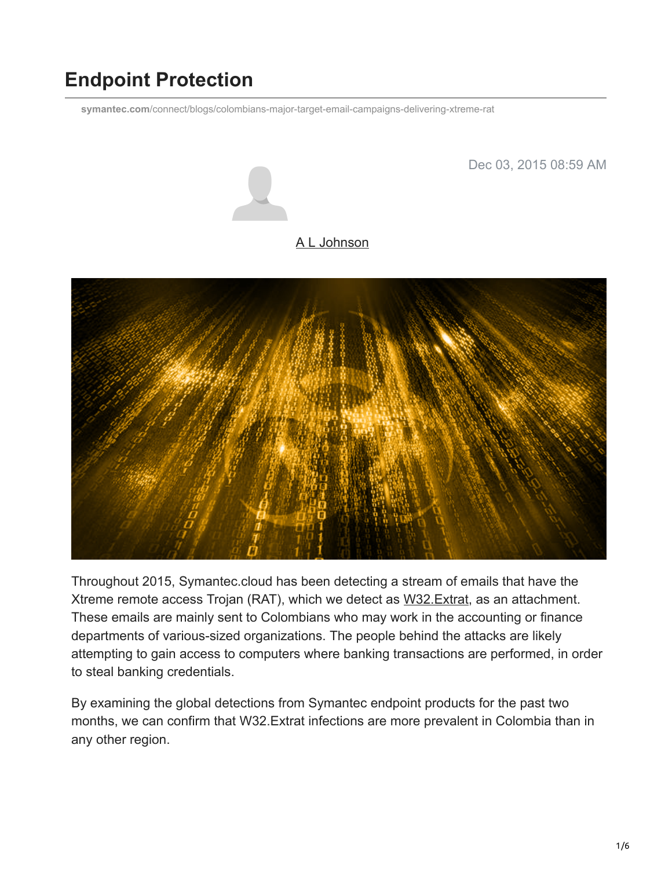## **Endpoint Protection**

**symantec.com**[/connect/blogs/colombians-major-target-email-campaigns-delivering-xtreme-rat](https://www.symantec.com/connect/blogs/colombians-major-target-email-campaigns-delivering-xtreme-rat)



Dec 03, 2015 08:59 AM

## [A L Johnson](https://community.broadcom.com/symantecenterprise/network/members/profile?UserKey=cbd453fd-3ce1-4c47-af77-d746256f9bc4)



Throughout 2015, Symantec.cloud has been detecting a stream of emails that have the Xtreme remote access Trojan (RAT), which we detect as [W32.Extrat](https://www.symantec.com/security_response/writeup.jsp?docid=2012-111221-3742-99), as an attachment. These emails are mainly sent to Colombians who may work in the accounting or finance departments of various-sized organizations. The people behind the attacks are likely attempting to gain access to computers where banking transactions are performed, in order to steal banking credentials.

By examining the global detections from Symantec endpoint products for the past two months, we can confirm that W32.Extrat infections are more prevalent in Colombia than in any other region.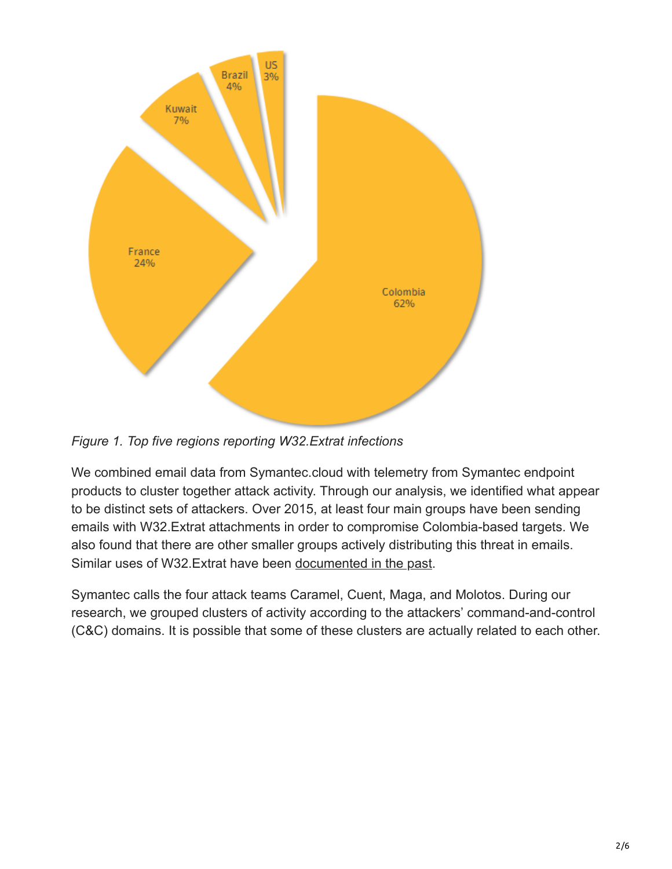

*Figure 1. Top five regions reporting W32.Extrat infections*

We combined email data from Symantec.cloud with telemetry from Symantec endpoint products to cluster together attack activity. Through our analysis, we identified what appear to be distinct sets of attackers. Over 2015, at least four main groups have been sending emails with W32.Extrat attachments in order to compromise Colombia-based targets. We also found that there are other smaller groups actively distributing this threat in emails. Similar uses of W32.Extrat have been [documented in the past.](https://www.fireeye.com/blog/threat-research/2014/02/xtremerat-nuisance-or-threat.html)

Symantec calls the four attack teams Caramel, Cuent, Maga, and Molotos. During our research, we grouped clusters of activity according to the attackers' command-and-control (C&C) domains. It is possible that some of these clusters are actually related to each other.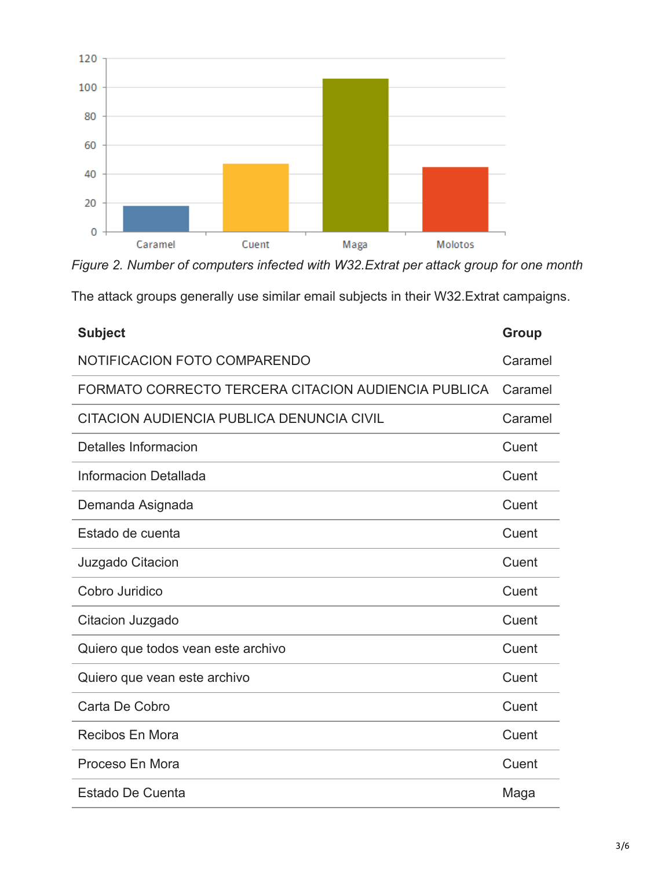

*Figure 2. Number of computers infected with W32.Extrat per attack group for one month*

|  |  |  | The attack groups generally use similar email subjects in their W32. Extrat campaigns. |  |
|--|--|--|----------------------------------------------------------------------------------------|--|
|  |  |  |                                                                                        |  |

| <b>Subject</b>                                      | <b>Group</b> |
|-----------------------------------------------------|--------------|
| NOTIFICACION FOTO COMPARENDO                        | Caramel      |
| FORMATO CORRECTO TERCERA CITACION AUDIENCIA PUBLICA | Caramel      |
| CITACION AUDIENCIA PUBLICA DENUNCIA CIVIL           | Caramel      |
| Detalles Informacion                                | Cuent        |
| Informacion Detallada                               | Cuent        |
| Demanda Asignada                                    | Cuent        |
| Estado de cuenta                                    | Cuent        |
| Juzgado Citacion                                    | Cuent        |
| Cobro Juridico                                      | Cuent        |
| Citacion Juzgado                                    | Cuent        |
| Quiero que todos vean este archivo                  | Cuent        |
| Quiero que vean este archivo                        | Cuent        |
| Carta De Cobro                                      | Cuent        |
| <b>Recibos En Mora</b>                              | Cuent        |
| Proceso En Mora                                     | Cuent        |
| Estado De Cuenta                                    | Maga         |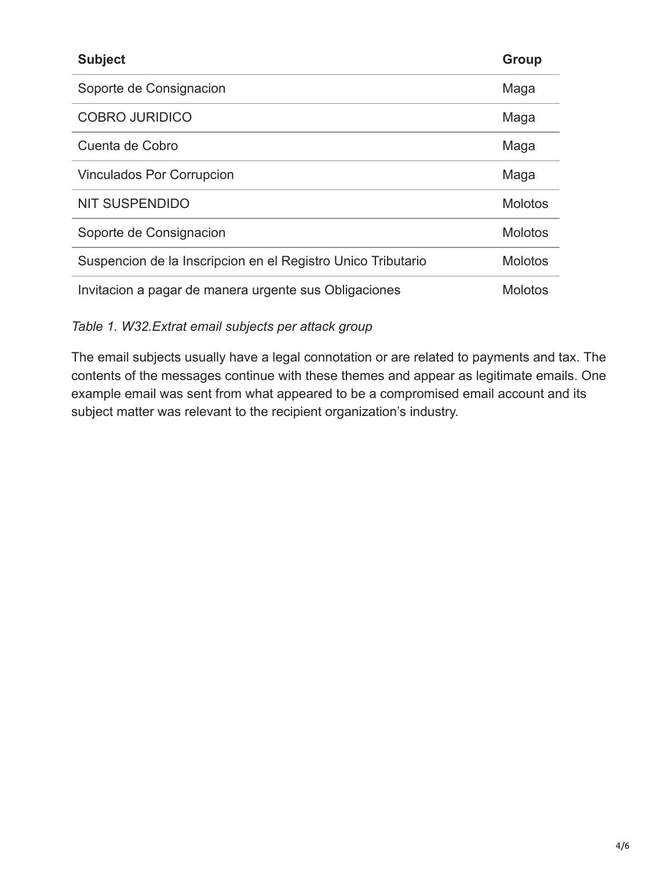| <b>Subject</b>                                               | <b>Group</b>   |
|--------------------------------------------------------------|----------------|
| Soporte de Consignacion                                      | Maga           |
| <b>COBRO JURIDICO</b>                                        | Maga           |
| Cuenta de Cobro                                              | Maga           |
| <b>Vinculados Por Corrupcion</b>                             | Maga           |
| <b>NIT SUSPENDIDO</b>                                        | <b>Molotos</b> |
| Soporte de Consignacion                                      | <b>Molotos</b> |
| Suspencion de la Inscripcion en el Registro Unico Tributario | <b>Molotos</b> |
| Invitacion a pagar de manera urgente sus Obligaciones        | <b>Molotos</b> |

*Table 1. W32.Extrat email subjects per attack group*

The email subjects usually have a legal connotation or are related to payments and tax. The contents of the messages continue with these themes and appear as legitimate emails. One example email was sent from what appeared to be a compromised email account and its subject matter was relevant to the recipient organization's industry.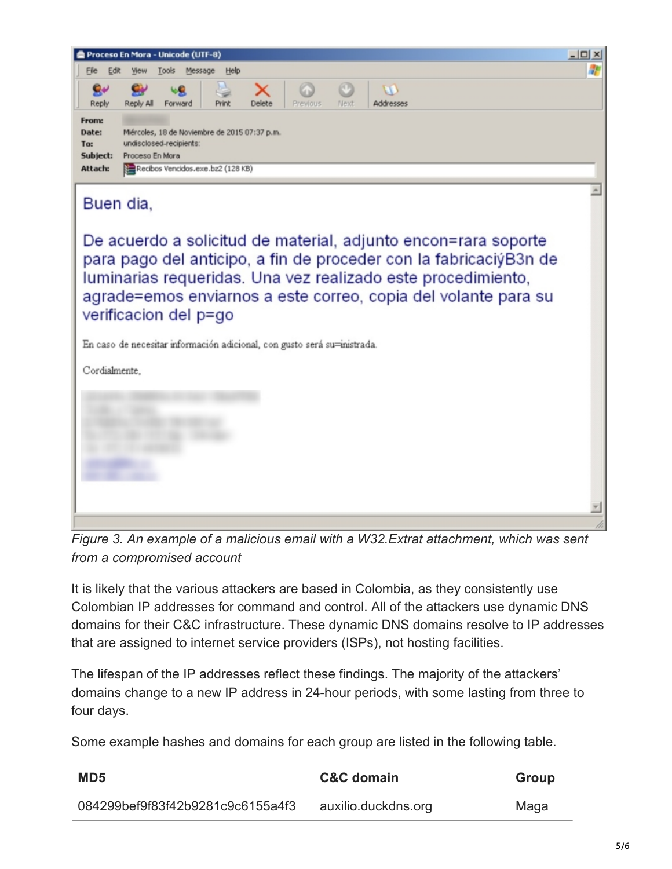

*Figure 3. An example of a malicious email with a W32.Extrat attachment, which was sent from a compromised account*

It is likely that the various attackers are based in Colombia, as they consistently use Colombian IP addresses for command and control. All of the attackers use dynamic DNS domains for their C&C infrastructure. These dynamic DNS domains resolve to IP addresses that are assigned to internet service providers (ISPs), not hosting facilities.

The lifespan of the IP addresses reflect these findings. The majority of the attackers' domains change to a new IP address in 24-hour periods, with some lasting from three to four days.

Some example hashes and domains for each group are listed in the following table.

| MD <sub>5</sub>                  | <b>C&amp;C</b> domain | <b>Group</b> |
|----------------------------------|-----------------------|--------------|
| 084299bef9f83f42b9281c9c6155a4f3 | auxilio.duckdns.org   | Maga         |